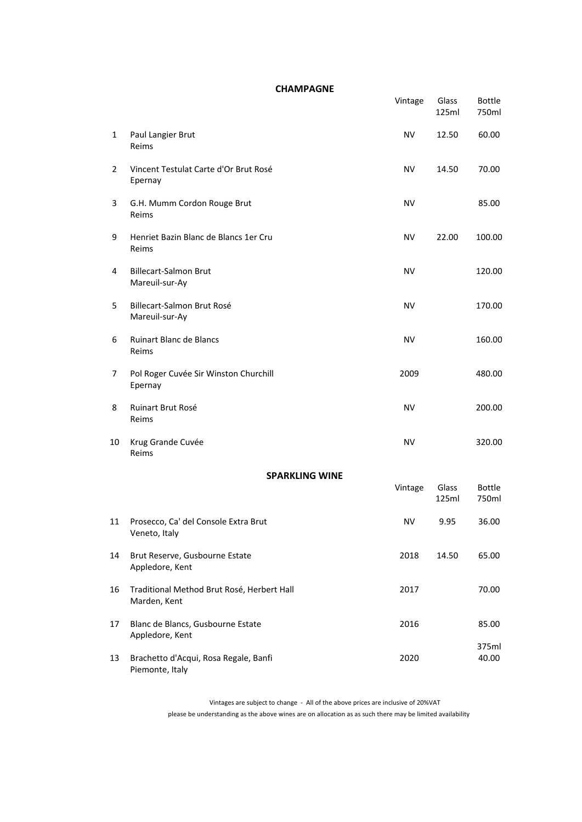## **CHAMPAGNE**

|                |                                                            | Vintage   | Glass<br>125ml | <b>Bottle</b><br>750ml |
|----------------|------------------------------------------------------------|-----------|----------------|------------------------|
| 1              | Paul Langier Brut<br>Reims                                 | NV        | 12.50          | 60.00                  |
| $\overline{2}$ | Vincent Testulat Carte d'Or Brut Rosé<br>Epernay           | <b>NV</b> | 14.50          | 70.00                  |
| 3              | G.H. Mumm Cordon Rouge Brut<br>Reims                       | <b>NV</b> |                | 85.00                  |
| 9              | Henriet Bazin Blanc de Blancs 1er Cru<br>Reims             | NV        | 22.00          | 100.00                 |
| 4              | <b>Billecart-Salmon Brut</b><br>Mareuil-sur-Ay             | <b>NV</b> |                | 120.00                 |
| 5              | Billecart-Salmon Brut Rosé<br>Mareuil-sur-Ay               | <b>NV</b> |                | 170.00                 |
| 6              | <b>Ruinart Blanc de Blancs</b><br>Reims                    | <b>NV</b> |                | 160.00                 |
| 7              | Pol Roger Cuvée Sir Winston Churchill<br>Epernay           | 2009      |                | 480.00                 |
| 8              | Ruinart Brut Rosé<br>Reims                                 | <b>NV</b> |                | 200.00                 |
| 10             | Krug Grande Cuvée<br>Reims                                 | <b>NV</b> |                | 320.00                 |
|                | <b>SPARKLING WINE</b>                                      |           |                |                        |
|                |                                                            | Vintage   | Glass<br>125ml | <b>Bottle</b><br>750ml |
| 11             | Prosecco, Ca' del Console Extra Brut<br>Veneto, Italy      | <b>NV</b> | 9.95           | 36.00                  |
| 14             | Brut Reserve, Gusbourne Estate<br>Appledore, Kent          | 2018      | 14.50          | 65.00                  |
| 16             | Traditional Method Brut Rosé, Herbert Hall<br>Marden, Kent | 2017      |                | 70.00                  |
| 17             | Blanc de Blancs, Gusbourne Estate<br>Appledore, Kent       | 2016      |                | 85.00                  |
| 13             | Brachetto d'Acqui, Rosa Regale, Banfi<br>Piemonte, Italy   | 2020      |                | 375ml<br>40.00         |

please be understanding as the above wines are on allocation as as such there may be limited availability Vintages are subject to change - All of the above prices are inclusive of 20%VAT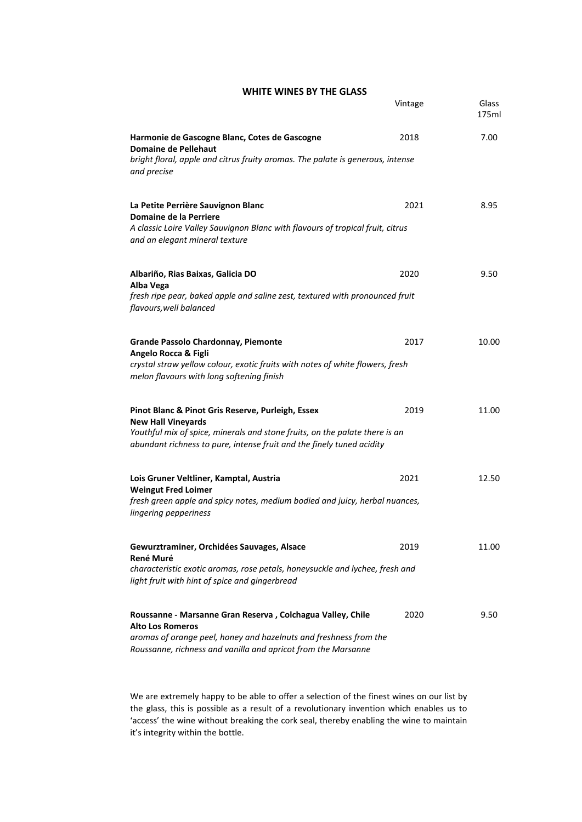## **WHITE WINES BY THE GLASS**

|                                                                                                                                                                                                                                        | Vintage | Glass<br>175ml |
|----------------------------------------------------------------------------------------------------------------------------------------------------------------------------------------------------------------------------------------|---------|----------------|
| Harmonie de Gascogne Blanc, Cotes de Gascogne<br><b>Domaine de Pellehaut</b><br>bright floral, apple and citrus fruity aromas. The palate is generous, intense<br>and precise                                                          | 2018    | 7.00           |
| La Petite Perrière Sauvignon Blanc<br>Domaine de la Perriere<br>A classic Loire Valley Sauvignon Blanc with flavours of tropical fruit, citrus<br>and an elegant mineral texture                                                       | 2021    | 8.95           |
| Albariño, Rias Baixas, Galicia DO<br>Alba Vega<br>fresh ripe pear, baked apple and saline zest, textured with pronounced fruit<br>flavours, well balanced                                                                              | 2020    | 9.50           |
| <b>Grande Passolo Chardonnay, Piemonte</b><br>Angelo Rocca & Figli<br>crystal straw yellow colour, exotic fruits with notes of white flowers, fresh<br>melon flavours with long softening finish                                       | 2017    | 10.00          |
| Pinot Blanc & Pinot Gris Reserve, Purleigh, Essex<br><b>New Hall Vineyards</b><br>Youthful mix of spice, minerals and stone fruits, on the palate there is an<br>abundant richness to pure, intense fruit and the finely tuned acidity | 2019    | 11.00          |
| Lois Gruner Veltliner, Kamptal, Austria<br><b>Weingut Fred Loimer</b><br>fresh green apple and spicy notes, medium bodied and juicy, herbal nuances,<br>lingering pepperiness                                                          | 2021    | 12.50          |
| Gewurztraminer, Orchidées Sauvages, Alsace<br>René Muré<br>characteristic exotic aromas, rose petals, honeysuckle and lychee, fresh and<br>light fruit with hint of spice and gingerbread                                              | 2019    | 11.00          |
| Roussanne - Marsanne Gran Reserva, Colchagua Valley, Chile<br><b>Alto Los Romeros</b><br>aromas of orange peel, honey and hazelnuts and freshness from the<br>Roussanne, richness and vanilla and apricot from the Marsanne            | 2020    | 9.50           |

We are extremely happy to be able to offer a selection of the finest wines on our list by the glass, this is possible as a result of a revolutionary invention which enables us to 'access' the wine without breaking the cork seal, thereby enabling the wine to maintain it's integrity within the bottle.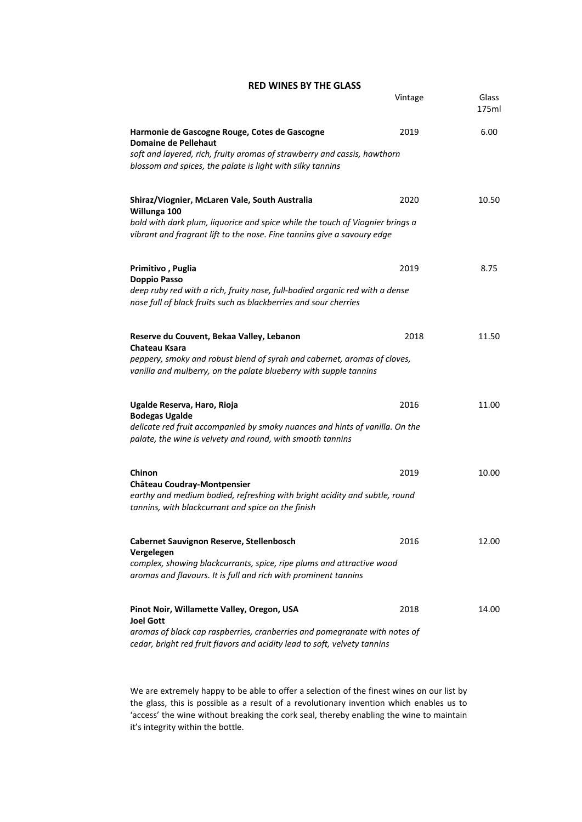#### **RED WINES BY THE GLASS**

|                                                                                                                                                                                                                            | Vintage | Glass<br>175ml |
|----------------------------------------------------------------------------------------------------------------------------------------------------------------------------------------------------------------------------|---------|----------------|
| Harmonie de Gascogne Rouge, Cotes de Gascogne<br>Domaine de Pellehaut<br>soft and layered, rich, fruity aromas of strawberry and cassis, hawthorn<br>blossom and spices, the palate is light with silky tannins            | 2019    | 6.00           |
| Shiraz/Viognier, McLaren Vale, South Australia<br>Willunga 100<br>bold with dark plum, liquorice and spice while the touch of Viognier brings a<br>vibrant and fragrant lift to the nose. Fine tannins give a savoury edge | 2020    | 10.50          |
| Primitivo, Puglia<br><b>Doppio Passo</b><br>deep ruby red with a rich, fruity nose, full-bodied organic red with a dense<br>nose full of black fruits such as blackberries and sour cherries                               | 2019    | 8.75           |
| Reserve du Couvent, Bekaa Valley, Lebanon<br>Chateau Ksara<br>peppery, smoky and robust blend of syrah and cabernet, aromas of cloves,<br>vanilla and mulberry, on the palate blueberry with supple tannins                | 2018    | 11.50          |
| Ugalde Reserva, Haro, Rioja<br><b>Bodegas Ugalde</b><br>delicate red fruit accompanied by smoky nuances and hints of vanilla. On the<br>palate, the wine is velvety and round, with smooth tannins                         | 2016    | 11.00          |
| Chinon<br><b>Château Coudray-Montpensier</b><br>earthy and medium bodied, refreshing with bright acidity and subtle, round<br>tannins, with blackcurrant and spice on the finish                                           | 2019    | 10.00          |
| Cabernet Sauvignon Reserve, Stellenbosch<br>Vergelegen<br>complex, showing blackcurrants, spice, ripe plums and attractive wood<br>aromas and flavours. It is full and rich with prominent tannins                         | 2016    | 12.00          |
| Pinot Noir, Willamette Valley, Oregon, USA<br><b>Joel Gott</b><br>aromas of black cap raspberries, cranberries and pomegranate with notes of<br>cedar, bright red fruit flavors and acidity lead to soft, velvety tannins  | 2018    | 14.00          |

We are extremely happy to be able to offer a selection of the finest wines on our list by the glass, this is possible as a result of a revolutionary invention which enables us to 'access' the wine without breaking the cork seal, thereby enabling the wine to maintain it's integrity within the bottle.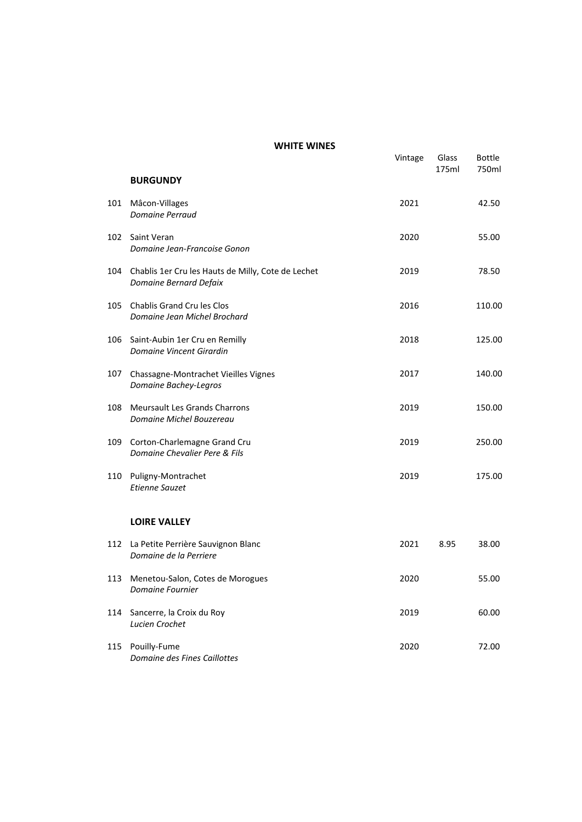|     |                                                                              | Vintage | Glass<br>175ml | <b>Bottle</b><br>750ml |
|-----|------------------------------------------------------------------------------|---------|----------------|------------------------|
|     | <b>BURGUNDY</b>                                                              |         |                |                        |
| 101 | Mâcon-Villages<br>Domaine Perraud                                            | 2021    |                | 42.50                  |
| 102 | Saint Veran<br>Domaine Jean-Francoise Gonon                                  | 2020    |                | 55.00                  |
| 104 | Chablis 1er Cru les Hauts de Milly, Cote de Lechet<br>Domaine Bernard Defaix | 2019    |                | 78.50                  |
| 105 | Chablis Grand Cru les Clos<br>Domaine Jean Michel Brochard                   | 2016    |                | 110.00                 |
| 106 | Saint-Aubin 1er Cru en Remilly<br>Domaine Vincent Girardin                   | 2018    |                | 125.00                 |
| 107 | Chassagne-Montrachet Vieilles Vignes<br>Domaine Bachey-Legros                | 2017    |                | 140.00                 |
| 108 | Meursault Les Grands Charrons<br>Domaine Michel Bouzereau                    | 2019    |                | 150.00                 |
| 109 | Corton-Charlemagne Grand Cru<br>Domaine Chevalier Pere & Fils                | 2019    |                | 250.00                 |
| 110 | Puligny-Montrachet<br><b>Etienne Sauzet</b>                                  | 2019    |                | 175.00                 |
|     | <b>LOIRE VALLEY</b>                                                          |         |                |                        |
| 112 | La Petite Perrière Sauvignon Blanc<br>Domaine de la Perriere                 | 2021    | 8.95           | 38.00                  |
| 113 | Menetou-Salon, Cotes de Morogues<br>Domaine Fournier                         | 2020    |                | 55.00                  |
| 114 | Sancerre, la Croix du Roy<br>Lucien Crochet                                  | 2019    |                | 60.00                  |
| 115 | Pouilly-Fume<br>Domaine des Fines Caillottes                                 | 2020    |                | 72.00                  |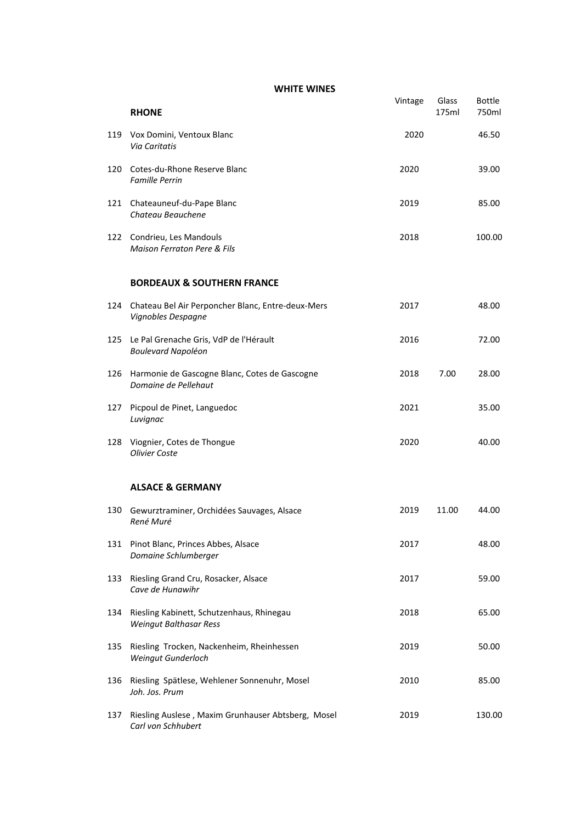|     | <b>RHONE</b>                                                               | Vintage | Glass<br>175ml | <b>Bottle</b><br>750ml |
|-----|----------------------------------------------------------------------------|---------|----------------|------------------------|
| 119 | Vox Domini, Ventoux Blanc<br><b>Via Caritatis</b>                          | 2020    |                | 46.50                  |
| 120 | Cotes-du-Rhone Reserve Blanc<br><b>Famille Perrin</b>                      | 2020    |                | 39.00                  |
| 121 | Chateauneuf-du-Pape Blanc<br>Chateau Beauchene                             | 2019    |                | 85.00                  |
| 122 | Condrieu, Les Mandouls<br><b>Maison Ferraton Pere &amp; Fils</b>           | 2018    |                | 100.00                 |
|     | <b>BORDEAUX &amp; SOUTHERN FRANCE</b>                                      |         |                |                        |
| 124 | Chateau Bel Air Perponcher Blanc, Entre-deux-Mers<br>Vignobles Despagne    | 2017    |                | 48.00                  |
| 125 | Le Pal Grenache Gris, VdP de l'Hérault<br><b>Boulevard Napoléon</b>        | 2016    |                | 72.00                  |
| 126 | Harmonie de Gascogne Blanc, Cotes de Gascogne<br>Domaine de Pellehaut      | 2018    | 7.00           | 28.00                  |
| 127 | Picpoul de Pinet, Languedoc<br>Luvignac                                    | 2021    |                | 35.00                  |
| 128 | Viognier, Cotes de Thongue<br><b>Olivier Coste</b>                         | 2020    |                | 40.00                  |
|     | <b>ALSACE &amp; GERMANY</b>                                                |         |                |                        |
| 130 | Gewurztraminer, Orchidées Sauvages, Alsace<br>René Muré                    | 2019    | 11.00          | 44.00                  |
| 131 | Pinot Blanc, Princes Abbes, Alsace<br>Domaine Schlumberger                 | 2017    |                | 48.00                  |
| 133 | Riesling Grand Cru, Rosacker, Alsace<br>Cave de Hunawihr                   | 2017    |                | 59.00                  |
| 134 | Riesling Kabinett, Schutzenhaus, Rhinegau<br><b>Weingut Balthasar Ress</b> | 2018    |                | 65.00                  |
| 135 | Riesling Trocken, Nackenheim, Rheinhessen<br>Weingut Gunderloch            | 2019    |                | 50.00                  |
| 136 | Riesling Spätlese, Wehlener Sonnenuhr, Mosel<br>Joh. Jos. Prum             | 2010    |                | 85.00                  |
| 137 | Riesling Auslese, Maxim Grunhauser Abtsberg, Mosel<br>Carl von Schhubert   | 2019    |                | 130.00                 |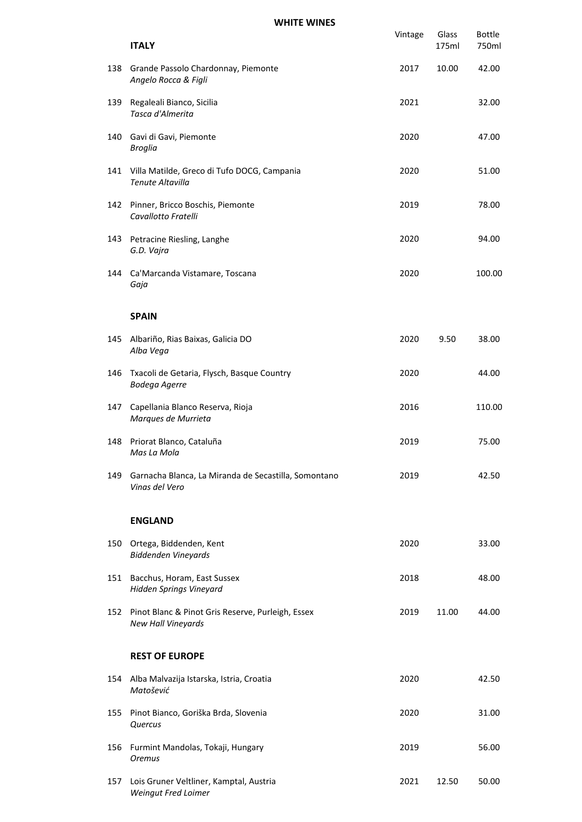|     | <b>ITALY</b>                                                            | Vintage | Glass<br>175ml | <b>Bottle</b><br>750ml |
|-----|-------------------------------------------------------------------------|---------|----------------|------------------------|
| 138 | Grande Passolo Chardonnay, Piemonte<br>Angelo Rocca & Figli             | 2017    | 10.00          | 42.00                  |
| 139 | Regaleali Bianco, Sicilia<br>Tasca d'Almerita                           | 2021    |                | 32.00                  |
| 140 | Gavi di Gavi, Piemonte<br><b>Broglia</b>                                | 2020    |                | 47.00                  |
| 141 | Villa Matilde, Greco di Tufo DOCG, Campania<br><b>Tenute Altavilla</b>  | 2020    |                | 51.00                  |
| 142 | Pinner, Bricco Boschis, Piemonte<br>Cavallotto Fratelli                 | 2019    |                | 78.00                  |
| 143 | Petracine Riesling, Langhe<br>G.D. Vajra                                | 2020    |                | 94.00                  |
| 144 | Ca'Marcanda Vistamare, Toscana<br>Gaja                                  | 2020    |                | 100.00                 |
|     | <b>SPAIN</b>                                                            |         |                |                        |
| 145 | Albariño, Rias Baixas, Galicia DO<br>Alba Vega                          | 2020    | 9.50           | 38.00                  |
| 146 | Txacoli de Getaria, Flysch, Basque Country<br><b>Bodega Agerre</b>      | 2020    |                | 44.00                  |
| 147 | Capellania Blanco Reserva, Rioja<br>Marques de Murrieta                 | 2016    |                | 110.00                 |
| 148 | Priorat Blanco, Cataluña<br>Mas La Mola                                 | 2019    |                | 75.00                  |
| 149 | Garnacha Blanca, La Miranda de Secastilla, Somontano<br>Vinas del Vero  | 2019    |                | 42.50                  |
|     | <b>ENGLAND</b>                                                          |         |                |                        |
| 150 | Ortega, Biddenden, Kent<br><b>Biddenden Vineyards</b>                   | 2020    |                | 33.00                  |
| 151 | Bacchus, Horam, East Sussex<br>Hidden Springs Vineyard                  | 2018    |                | 48.00                  |
| 152 | Pinot Blanc & Pinot Gris Reserve, Purleigh, Essex<br>New Hall Vineyards | 2019    | 11.00          | 44.00                  |
|     | <b>REST OF EUROPE</b>                                                   |         |                |                        |
| 154 | Alba Malvazija Istarska, Istria, Croatia<br>Matošević                   | 2020    |                | 42.50                  |
| 155 | Pinot Bianco, Goriška Brda, Slovenia<br>Quercus                         | 2020    |                | 31.00                  |
| 156 | Furmint Mandolas, Tokaji, Hungary<br><b>Oremus</b>                      | 2019    |                | 56.00                  |
| 157 | Lois Gruner Veltliner, Kamptal, Austria<br>Weingut Fred Loimer          | 2021    | 12.50          | 50.00                  |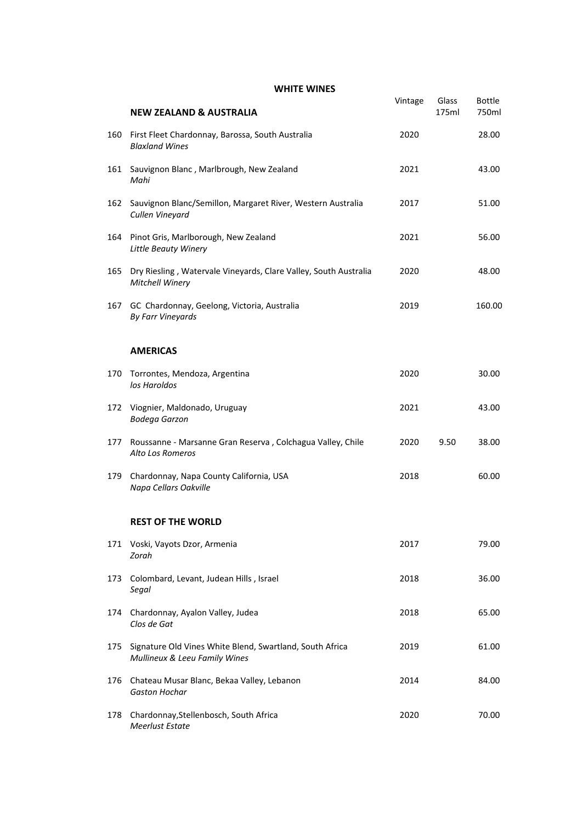|     | <b>NEW ZEALAND &amp; AUSTRALIA</b>                                                        | Vintage | Glass<br>175ml | <b>Bottle</b><br>750ml |
|-----|-------------------------------------------------------------------------------------------|---------|----------------|------------------------|
| 160 | First Fleet Chardonnay, Barossa, South Australia<br><b>Blaxland Wines</b>                 | 2020    |                | 28.00                  |
| 161 | Sauvignon Blanc, Marlbrough, New Zealand<br>Mahi                                          | 2021    |                | 43.00                  |
| 162 | Sauvignon Blanc/Semillon, Margaret River, Western Australia<br>Cullen Vineyard            | 2017    |                | 51.00                  |
| 164 | Pinot Gris, Marlborough, New Zealand<br>Little Beauty Winery                              | 2021    |                | 56.00                  |
| 165 | Dry Riesling, Watervale Vineyards, Clare Valley, South Australia<br>Mitchell Winery       | 2020    |                | 48.00                  |
| 167 | GC Chardonnay, Geelong, Victoria, Australia<br><b>By Farr Vineyards</b>                   | 2019    |                | 160.00                 |
|     | <b>AMERICAS</b>                                                                           |         |                |                        |
| 170 | Torrontes, Mendoza, Argentina<br>los Haroldos                                             | 2020    |                | 30.00                  |
| 172 | Viognier, Maldonado, Uruguay<br><b>Bodega Garzon</b>                                      | 2021    |                | 43.00                  |
| 177 | Roussanne - Marsanne Gran Reserva, Colchagua Valley, Chile<br>Alto Los Romeros            | 2020    | 9.50           | 38.00                  |
| 179 | Chardonnay, Napa County California, USA<br>Napa Cellars Oakville                          | 2018    |                | 60.00                  |
|     | <b>REST OF THE WORLD</b>                                                                  |         |                |                        |
|     | 171 Voski, Vayots Dzor, Armenia<br>Zorah                                                  | 2017    |                | 79.00                  |
| 173 | Colombard, Levant, Judean Hills, Israel<br>Segal                                          | 2018    |                | 36.00                  |
| 174 | Chardonnay, Ayalon Valley, Judea<br>Clos de Gat                                           | 2018    |                | 65.00                  |
| 175 | Signature Old Vines White Blend, Swartland, South Africa<br>Mullineux & Leeu Family Wines | 2019    |                | 61.00                  |
| 176 | Chateau Musar Blanc, Bekaa Valley, Lebanon<br><b>Gaston Hochar</b>                        | 2014    |                | 84.00                  |
| 178 | Chardonnay, Stellenbosch, South Africa<br>Meerlust Estate                                 | 2020    |                | 70.00                  |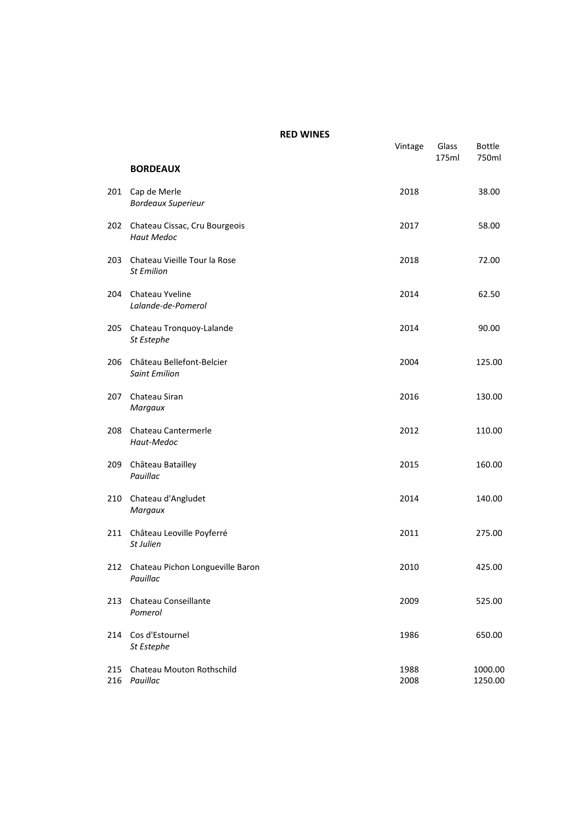|            |                                                    | Vintage      | Glass<br>175ml | <b>Bottle</b><br>750ml |
|------------|----------------------------------------------------|--------------|----------------|------------------------|
|            | <b>BORDEAUX</b>                                    |              |                |                        |
| 201        | Cap de Merle<br><b>Bordeaux Superieur</b>          | 2018         |                | 38.00                  |
| 202        | Chateau Cissac, Cru Bourgeois<br><b>Haut Medoc</b> | 2017         |                | 58.00                  |
| 203        | Chateau Vieille Tour la Rose<br><b>St Emilion</b>  | 2018         |                | 72.00                  |
| 204        | Chateau Yveline<br>Lalande-de-Pomerol              | 2014         |                | 62.50                  |
| 205        | Chateau Tronquoy-Lalande<br>St Estephe             | 2014         |                | 90.00                  |
| 206        | Château Bellefont-Belcier<br><b>Saint Emilion</b>  | 2004         |                | 125.00                 |
| 207        | Chateau Siran<br>Margaux                           | 2016         |                | 130.00                 |
| 208        | Chateau Cantermerle<br>Haut-Medoc                  | 2012         |                | 110.00                 |
| 209        | Château Batailley<br>Pauillac                      | 2015         |                | 160.00                 |
| 210        | Chateau d'Angludet<br>Margaux                      | 2014         |                | 140.00                 |
| 211        | Château Leoville Poyferré<br>St Julien             | 2011         |                | 275.00                 |
| 212        | Chateau Pichon Longueville Baron<br>Pauillac       | 2010         |                | 425.00                 |
| 213        | Chateau Conseillante<br>Pomerol                    | 2009         |                | 525.00                 |
| 214        | Cos d'Estournel<br>St Estephe                      | 1986         |                | 650.00                 |
| 215<br>216 | Chateau Mouton Rothschild<br>Pauillac              | 1988<br>2008 |                | 1000.00<br>1250.00     |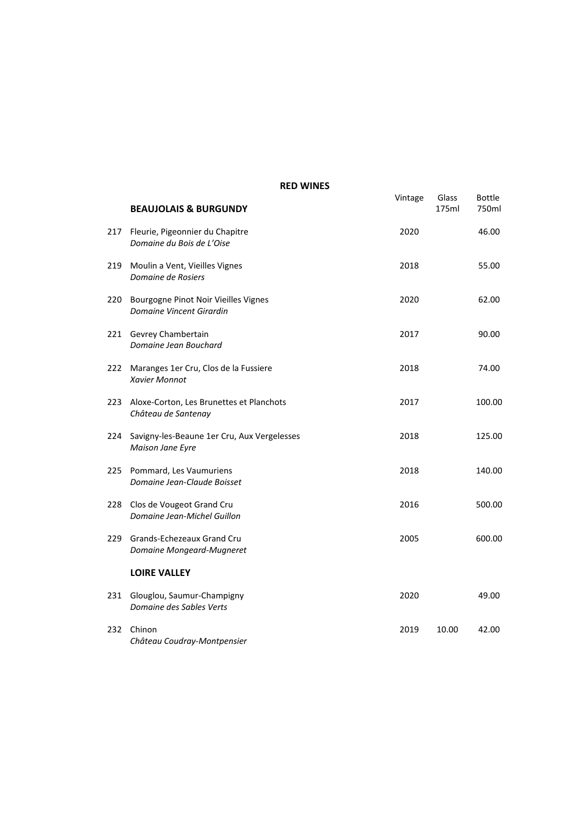|     | <b>BEAUJOLAIS &amp; BURGUNDY</b>                                 | Vintage | Glass<br>175ml | <b>Bottle</b><br>750ml |
|-----|------------------------------------------------------------------|---------|----------------|------------------------|
| 217 | Fleurie, Pigeonnier du Chapitre<br>Domaine du Bois de L'Oise     | 2020    |                | 46.00                  |
| 219 | Moulin a Vent, Vieilles Vignes<br>Domaine de Rosiers             | 2018    |                | 55.00                  |
| 220 | Bourgogne Pinot Noir Vieilles Vignes<br>Domaine Vincent Girardin | 2020    |                | 62.00                  |
| 221 | Gevrey Chambertain<br>Domaine Jean Bouchard                      | 2017    |                | 90.00                  |
| 222 | Maranges 1er Cru, Clos de la Fussiere<br><b>Xavier Monnot</b>    | 2018    |                | 74.00                  |
| 223 | Aloxe-Corton, Les Brunettes et Planchots<br>Château de Santenay  | 2017    |                | 100.00                 |
| 224 | Savigny-les-Beaune 1er Cru, Aux Vergelesses<br>Maison Jane Eyre  | 2018    |                | 125.00                 |
| 225 | Pommard, Les Vaumuriens<br>Domaine Jean-Claude Boisset           | 2018    |                | 140.00                 |
| 228 | Clos de Vougeot Grand Cru<br>Domaine Jean-Michel Guillon         | 2016    |                | 500.00                 |
| 229 | Grands-Echezeaux Grand Cru<br>Domaine Mongeard-Mugneret          | 2005    |                | 600.00                 |
|     | <b>LOIRE VALLEY</b>                                              |         |                |                        |
| 231 | Glouglou, Saumur-Champigny<br>Domaine des Sables Verts           | 2020    |                | 49.00                  |
| 232 | Chinon<br>Château Coudray-Montpensier                            | 2019    | 10.00          | 42.00                  |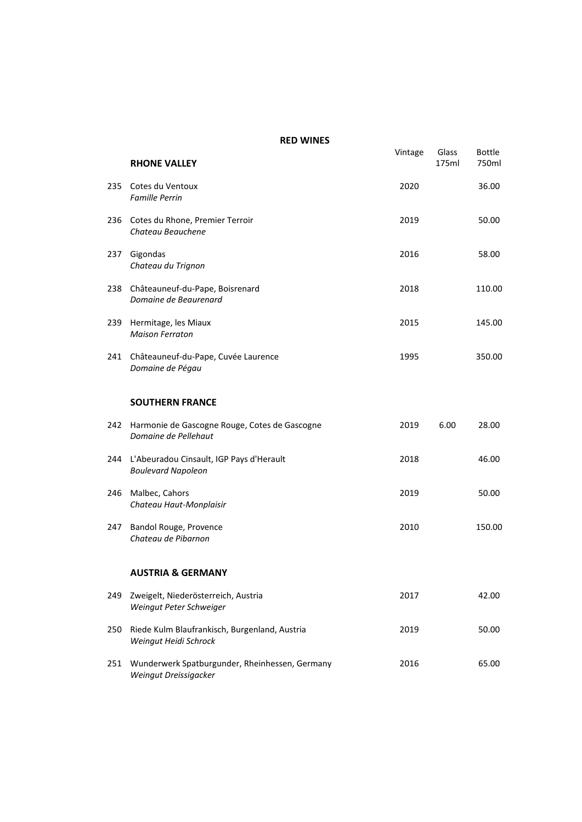|     | <b>RHONE VALLEY</b>                                                     | Vintage | Glass<br>175ml | <b>Bottle</b><br>750ml |
|-----|-------------------------------------------------------------------------|---------|----------------|------------------------|
| 235 | Cotes du Ventoux<br><b>Famille Perrin</b>                               | 2020    |                | 36.00                  |
| 236 | Cotes du Rhone, Premier Terroir<br>Chateau Beauchene                    | 2019    |                | 50.00                  |
| 237 | Gigondas<br>Chateau du Trignon                                          | 2016    |                | 58.00                  |
| 238 | Châteauneuf-du-Pape, Boisrenard<br>Domaine de Beaurenard                | 2018    |                | 110.00                 |
| 239 | Hermitage, les Miaux<br><b>Maison Ferraton</b>                          | 2015    |                | 145.00                 |
| 241 | Châteauneuf-du-Pape, Cuvée Laurence<br>Domaine de Pégau                 | 1995    |                | 350.00                 |
|     | <b>SOUTHERN FRANCE</b>                                                  |         |                |                        |
| 242 | Harmonie de Gascogne Rouge, Cotes de Gascogne<br>Domaine de Pellehaut   | 2019    | 6.00           | 28.00                  |
| 244 | L'Abeuradou Cinsault, IGP Pays d'Herault<br><b>Boulevard Napoleon</b>   | 2018    |                | 46.00                  |
| 246 | Malbec, Cahors<br>Chateau Haut-Monplaisir                               | 2019    |                | 50.00                  |
| 247 | Bandol Rouge, Provence<br>Chateau de Pibarnon                           | 2010    |                | 150.00                 |
|     | <b>AUSTRIA &amp; GERMANY</b>                                            |         |                |                        |
| 249 | Zweigelt, Niederösterreich, Austria<br>Weingut Peter Schweiger          | 2017    |                | 42.00                  |
| 250 | Riede Kulm Blaufrankisch, Burgenland, Austria<br>Weingut Heidi Schrock  | 2019    |                | 50.00                  |
| 251 | Wunderwerk Spatburgunder, Rheinhessen, Germany<br>Weingut Dreissigacker | 2016    |                | 65.00                  |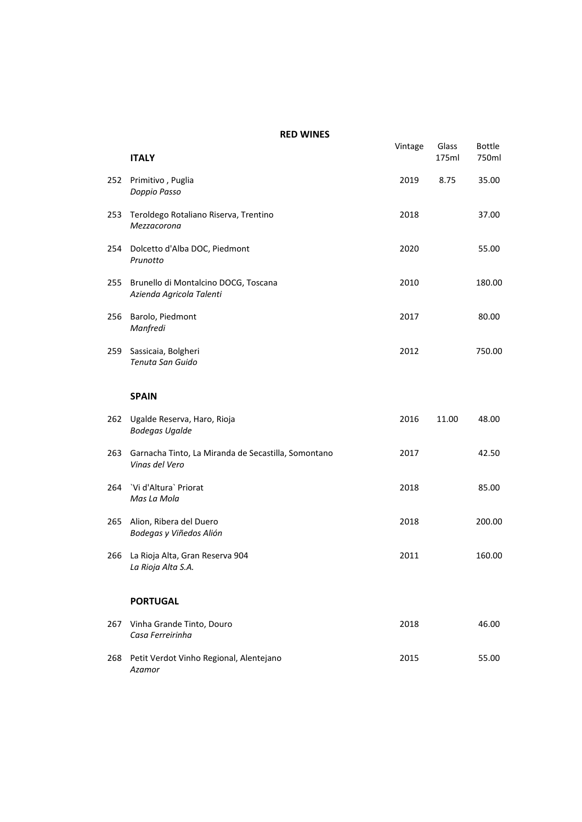|     | <b>ITALY</b>                                                          | Vintage | Glass<br>175ml | Bottle<br>750ml |
|-----|-----------------------------------------------------------------------|---------|----------------|-----------------|
| 252 | Primitivo, Puglia<br>Doppio Passo                                     | 2019    | 8.75           | 35.00           |
| 253 | Teroldego Rotaliano Riserva, Trentino<br>Mezzacorona                  | 2018    |                | 37.00           |
| 254 | Dolcetto d'Alba DOC, Piedmont<br>Prunotto                             | 2020    |                | 55.00           |
| 255 | Brunello di Montalcino DOCG, Toscana<br>Azienda Agricola Talenti      | 2010    |                | 180.00          |
| 256 | Barolo, Piedmont<br>Manfredi                                          | 2017    |                | 80.00           |
| 259 | Sassicaia, Bolgheri<br>Tenuta San Guido                               | 2012    |                | 750.00          |
|     | <b>SPAIN</b>                                                          |         |                |                 |
| 262 | Ugalde Reserva, Haro, Rioja<br><b>Bodegas Ugalde</b>                  | 2016    | 11.00          | 48.00           |
| 263 | Garnacha Tinto, La Miranda de Secastilla, Somontano<br>Vinas del Vero | 2017    |                | 42.50           |
| 264 | 'Vi d'Altura' Priorat<br>Mas La Mola                                  | 2018    |                | 85.00           |
| 265 | Alion, Ribera del Duero<br>Bodegas y Viñedos Alión                    | 2018    |                | 200.00          |
| 266 | La Rioja Alta, Gran Reserva 904<br>La Rioja Alta S.A.                 | 2011    |                | 160.00          |
|     | <b>PORTUGAL</b>                                                       |         |                |                 |
| 267 | Vinha Grande Tinto, Douro<br>Casa Ferreirinha                         | 2018    |                | 46.00           |
| 268 | Petit Verdot Vinho Regional, Alentejano<br>Azamor                     | 2015    |                | 55.00           |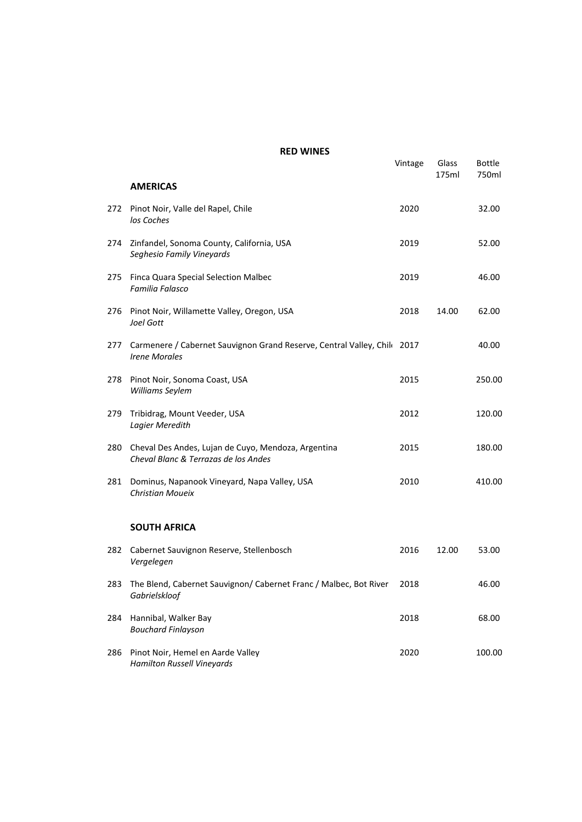|     |                                                                                                  | Vintage | Glass<br>175ml | Bottle<br>750ml |
|-----|--------------------------------------------------------------------------------------------------|---------|----------------|-----------------|
|     | <b>AMERICAS</b>                                                                                  |         |                |                 |
| 272 | Pinot Noir, Valle del Rapel, Chile<br>los Coches                                                 | 2020    |                | 32.00           |
| 274 | Zinfandel, Sonoma County, California, USA<br>Seghesio Family Vineyards                           | 2019    |                | 52.00           |
| 275 | Finca Quara Special Selection Malbec<br>Familia Falasco                                          | 2019    |                | 46.00           |
| 276 | Pinot Noir, Willamette Valley, Oregon, USA<br>Joel Gott                                          | 2018    | 14.00          | 62.00           |
| 277 | Carmenere / Cabernet Sauvignon Grand Reserve, Central Valley, Chil: 2017<br><b>Irene Morales</b> |         |                | 40.00           |
| 278 | Pinot Noir, Sonoma Coast, USA<br>Williams Seylem                                                 | 2015    |                | 250.00          |
| 279 | Tribidrag, Mount Veeder, USA<br>Lagier Meredith                                                  | 2012    |                | 120.00          |
| 280 | Cheval Des Andes, Lujan de Cuyo, Mendoza, Argentina<br>Cheval Blanc & Terrazas de los Andes      | 2015    |                | 180.00          |
| 281 | Dominus, Napanook Vineyard, Napa Valley, USA<br>Christian Moueix                                 | 2010    |                | 410.00          |
|     | <b>SOUTH AFRICA</b>                                                                              |         |                |                 |
| 282 | Cabernet Sauvignon Reserve, Stellenbosch<br>Vergelegen                                           | 2016    | 12.00          | 53.00           |
| 283 | The Blend, Cabernet Sauvignon/ Cabernet Franc / Malbec, Bot River<br>Gabrielskloof               | 2018    |                | 46.00           |
| 284 | Hannibal, Walker Bay<br><b>Bouchard Finlayson</b>                                                | 2018    |                | 68.00           |
| 286 | Pinot Noir, Hemel en Aarde Valley<br>Hamilton Russell Vineyards                                  | 2020    |                | 100.00          |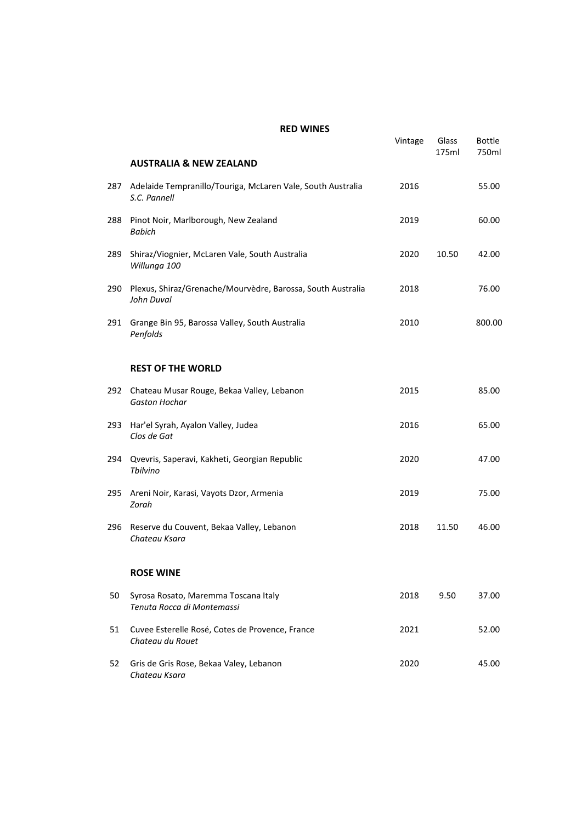|     |                                                                             | Vintage | Glass<br>175ml | <b>Bottle</b><br>750ml |
|-----|-----------------------------------------------------------------------------|---------|----------------|------------------------|
|     | <b>AUSTRALIA &amp; NEW ZEALAND</b>                                          |         |                |                        |
| 287 | Adelaide Tempranillo/Touriga, McLaren Vale, South Australia<br>S.C. Pannell | 2016    |                | 55.00                  |
| 288 | Pinot Noir, Marlborough, New Zealand<br><b>Babich</b>                       | 2019    |                | 60.00                  |
| 289 | Shiraz/Viognier, McLaren Vale, South Australia<br>Willunga 100              | 2020    | 10.50          | 42.00                  |
| 290 | Plexus, Shiraz/Grenache/Mourvèdre, Barossa, South Australia<br>John Duval   | 2018    |                | 76.00                  |
| 291 | Grange Bin 95, Barossa Valley, South Australia<br>Penfolds                  | 2010    |                | 800.00                 |
|     | <b>REST OF THE WORLD</b>                                                    |         |                |                        |
| 292 | Chateau Musar Rouge, Bekaa Valley, Lebanon<br><b>Gaston Hochar</b>          | 2015    |                | 85.00                  |
| 293 | Har'el Syrah, Ayalon Valley, Judea<br>Clos de Gat                           | 2016    |                | 65.00                  |
| 294 | Qvevris, Saperavi, Kakheti, Georgian Republic<br>Thilvino                   | 2020    |                | 47.00                  |
| 295 | Areni Noir, Karasi, Vayots Dzor, Armenia<br>Zorah                           | 2019    |                | 75.00                  |
| 296 | Reserve du Couvent, Bekaa Valley, Lebanon<br>Chateau Ksara                  | 2018    | 11.50          | 46.00                  |
|     | <b>ROSE WINE</b>                                                            |         |                |                        |
| 50  | Syrosa Rosato, Maremma Toscana Italy<br>Tenuta Rocca di Montemassi          | 2018    | 9.50           | 37.00                  |
| 51  | Cuvee Esterelle Rosé, Cotes de Provence, France<br>Chateau du Rouet         | 2021    |                | 52.00                  |
| 52  | Gris de Gris Rose, Bekaa Valey, Lebanon<br>Chateau Ksara                    | 2020    |                | 45.00                  |
|     |                                                                             |         |                |                        |